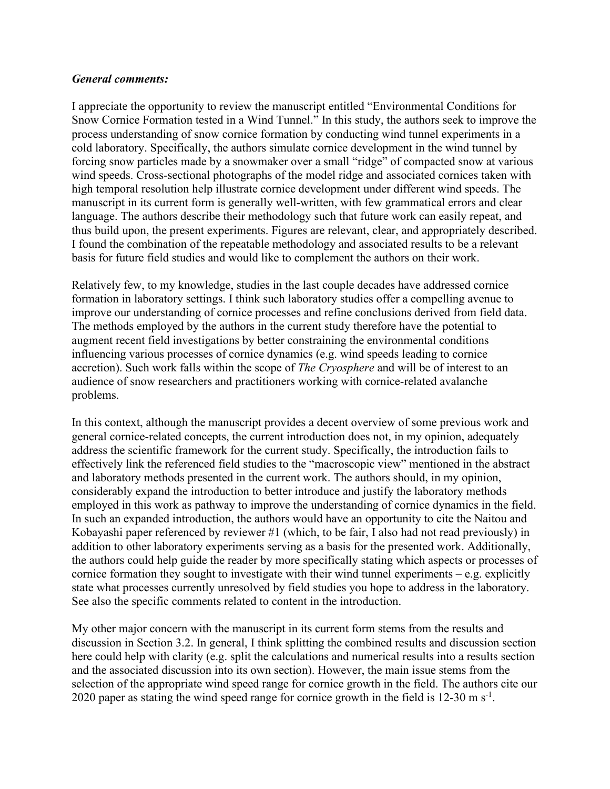## *General comments:*

I appreciate the opportunity to review the manuscript entitled "Environmental Conditions for Snow Cornice Formation tested in a Wind Tunnel." In this study, the authors seek to improve the process understanding of snow cornice formation by conducting wind tunnel experiments in a cold laboratory. Specifically, the authors simulate cornice development in the wind tunnel by forcing snow particles made by a snowmaker over a small "ridge" of compacted snow at various wind speeds. Cross-sectional photographs of the model ridge and associated cornices taken with high temporal resolution help illustrate cornice development under different wind speeds. The manuscript in its current form is generally well-written, with few grammatical errors and clear language. The authors describe their methodology such that future work can easily repeat, and thus build upon, the present experiments. Figures are relevant, clear, and appropriately described. I found the combination of the repeatable methodology and associated results to be a relevant basis for future field studies and would like to complement the authors on their work.

Relatively few, to my knowledge, studies in the last couple decades have addressed cornice formation in laboratory settings. I think such laboratory studies offer a compelling avenue to improve our understanding of cornice processes and refine conclusions derived from field data. The methods employed by the authors in the current study therefore have the potential to augment recent field investigations by better constraining the environmental conditions influencing various processes of cornice dynamics (e.g. wind speeds leading to cornice accretion). Such work falls within the scope of *The Cryosphere* and will be of interest to an audience of snow researchers and practitioners working with cornice-related avalanche problems.

In this context, although the manuscript provides a decent overview of some previous work and general cornice-related concepts, the current introduction does not, in my opinion, adequately address the scientific framework for the current study. Specifically, the introduction fails to effectively link the referenced field studies to the "macroscopic view" mentioned in the abstract and laboratory methods presented in the current work. The authors should, in my opinion, considerably expand the introduction to better introduce and justify the laboratory methods employed in this work as pathway to improve the understanding of cornice dynamics in the field. In such an expanded introduction, the authors would have an opportunity to cite the Naitou and Kobayashi paper referenced by reviewer #1 (which, to be fair, I also had not read previously) in addition to other laboratory experiments serving as a basis for the presented work. Additionally, the authors could help guide the reader by more specifically stating which aspects or processes of cornice formation they sought to investigate with their wind tunnel experiments – e.g. explicitly state what processes currently unresolved by field studies you hope to address in the laboratory. See also the specific comments related to content in the introduction.

My other major concern with the manuscript in its current form stems from the results and discussion in Section 3.2. In general, I think splitting the combined results and discussion section here could help with clarity (e.g. split the calculations and numerical results into a results section and the associated discussion into its own section). However, the main issue stems from the selection of the appropriate wind speed range for cornice growth in the field. The authors cite our 2020 paper as stating the wind speed range for cornice growth in the field is  $12{\text -}30$  m s<sup>-1</sup>.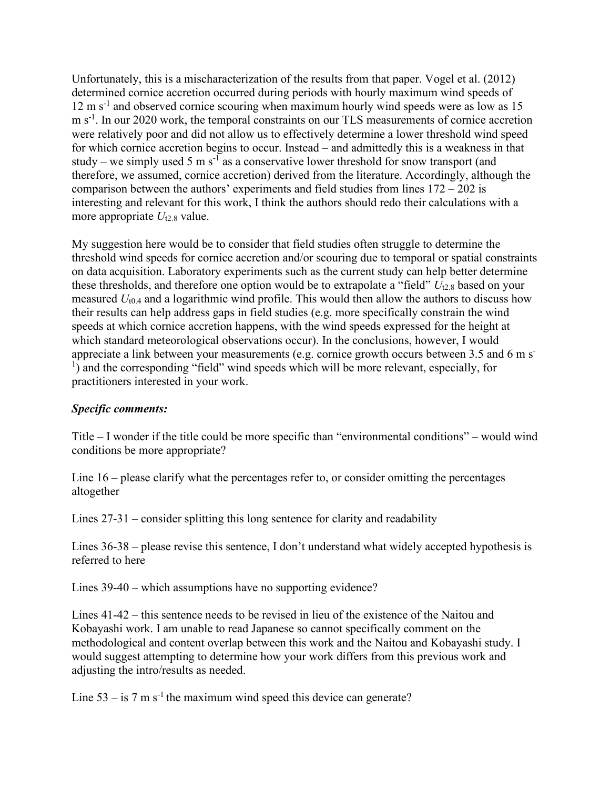Unfortunately, this is a mischaracterization of the results from that paper. Vogel et al. (2012) determined cornice accretion occurred during periods with hourly maximum wind speeds of  $12 \text{ m s}^{-1}$  and observed cornice scouring when maximum hourly wind speeds were as low as 15 m s<sup>-1</sup>. In our 2020 work, the temporal constraints on our TLS measurements of cornice accretion were relatively poor and did not allow us to effectively determine a lower threshold wind speed for which cornice accretion begins to occur. Instead – and admittedly this is a weakness in that study – we simply used 5 m s<sup>-1</sup> as a conservative lower threshold for snow transport (and therefore, we assumed, cornice accretion) derived from the literature. Accordingly, although the comparison between the authors' experiments and field studies from lines 172 – 202 is interesting and relevant for this work, I think the authors should redo their calculations with a more appropriate  $U_{12.8}$  value.

My suggestion here would be to consider that field studies often struggle to determine the threshold wind speeds for cornice accretion and/or scouring due to temporal or spatial constraints on data acquisition. Laboratory experiments such as the current study can help better determine these thresholds, and therefore one option would be to extrapolate a "field" *U*t2.8 based on your measured *U*t0.4 and a logarithmic wind profile. This would then allow the authors to discuss how their results can help address gaps in field studies (e.g. more specifically constrain the wind speeds at which cornice accretion happens, with the wind speeds expressed for the height at which standard meteorological observations occur). In the conclusions, however, I would appreciate a link between your measurements (e.g. cornice growth occurs between 3.5 and 6 m s-<sup>1</sup>) and the corresponding "field" wind speeds which will be more relevant, especially, for practitioners interested in your work.

## *Specific comments:*

Title – I wonder if the title could be more specific than "environmental conditions" – would wind conditions be more appropriate?

Line 16 – please clarify what the percentages refer to, or consider omitting the percentages altogether

Lines 27-31 – consider splitting this long sentence for clarity and readability

Lines 36-38 – please revise this sentence, I don't understand what widely accepted hypothesis is referred to here

Lines 39-40 – which assumptions have no supporting evidence?

Lines 41-42 – this sentence needs to be revised in lieu of the existence of the Naitou and Kobayashi work. I am unable to read Japanese so cannot specifically comment on the methodological and content overlap between this work and the Naitou and Kobayashi study. I would suggest attempting to determine how your work differs from this previous work and adjusting the intro/results as needed.

Line  $53 - is 7$  m s<sup>-1</sup> the maximum wind speed this device can generate?